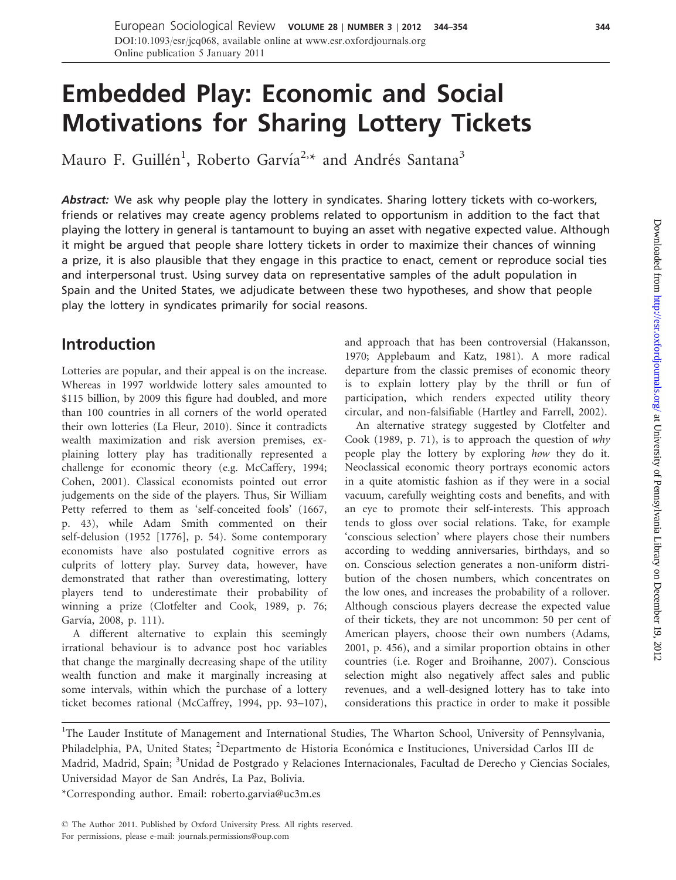# Embedded Play: Economic and Social Motivations for Sharing Lottery Tickets

Mauro F. Guillén<sup>1</sup>, Roberto Garvía<sup>2,</sup>\* and Andrés Santana<sup>3</sup>

Abstract: We ask why people play the lottery in syndicates. Sharing lottery tickets with co-workers, friends or relatives may create agency problems related to opportunism in addition to the fact that playing the lottery in general is tantamount to buying an asset with negative expected value. Although it might be argued that people share lottery tickets in order to maximize their chances of winning a prize, it is also plausible that they engage in this practice to enact, cement or reproduce social ties and interpersonal trust. Using survey data on representative samples of the adult population in Spain and the United States, we adjudicate between these two hypotheses, and show that people play the lottery in syndicates primarily for social reasons.

## Introduction

Lotteries are popular, and their appeal is on the increase. Whereas in 1997 worldwide lottery sales amounted to \$115 billion, by 2009 this figure had doubled, and more than 100 countries in all corners of the world operated their own lotteries (La Fleur, 2010). Since it contradicts wealth maximization and risk aversion premises, explaining lottery play has traditionally represented a challenge for economic theory (e.g. McCaffery, 1994; Cohen, 2001). Classical economists pointed out error judgements on the side of the players. Thus, Sir William Petty referred to them as 'self-conceited fools' (1667, p. 43), while Adam Smith commented on their self-delusion (1952 [1776], p. 54). Some contemporary economists have also postulated cognitive errors as culprits of lottery play. Survey data, however, have demonstrated that rather than overestimating, lottery players tend to underestimate their probability of winning a prize (Clotfelter and Cook, 1989, p. 76; Garvía, 2008, p. 111).

A different alternative to explain this seemingly irrational behaviour is to advance post hoc variables that change the marginally decreasing shape of the utility wealth function and make it marginally increasing at some intervals, within which the purchase of a lottery ticket becomes rational (McCaffrey, 1994, pp. 93–107), and approach that has been controversial (Hakansson, 1970; Applebaum and Katz, 1981). A more radical departure from the classic premises of economic theory is to explain lottery play by the thrill or fun of participation, which renders expected utility theory circular, and non-falsifiable (Hartley and Farrell, 2002).

An alternative strategy suggested by Clotfelter and Cook (1989, p. 71), is to approach the question of why people play the lottery by exploring how they do it. Neoclassical economic theory portrays economic actors in a quite atomistic fashion as if they were in a social vacuum, carefully weighting costs and benefits, and with an eye to promote their self-interests. This approach tends to gloss over social relations. Take, for example 'conscious selection' where players chose their numbers according to wedding anniversaries, birthdays, and so on. Conscious selection generates a non-uniform distribution of the chosen numbers, which concentrates on the low ones, and increases the probability of a rollover. Although conscious players decrease the expected value of their tickets, they are not uncommon: 50 per cent of American players, choose their own numbers (Adams, 2001, p. 456), and a similar proportion obtains in other countries (i.e. Roger and Broihanne, 2007). Conscious selection might also negatively affect sales and public revenues, and a well-designed lottery has to take into considerations this practice in order to make it possible

<sup>1</sup>The Lauder Institute of Management and International Studies, The Wharton School, University of Pennsylvania, Philadelphia, PA, United States; <sup>2</sup>Departmento de Historia Económica e Instituciones, Universidad Carlos III de Madrid, Madrid, Spain; <sup>3</sup>Unidad de Postgrado y Relaciones Internacionales, Facultad de Derecho y Ciencias Sociales, Universidad Mayor de San Andrés, La Paz, Bolivia.

\*Corresponding author. Email: roberto.garvia@uc3m.es

- The Author 2011. Published by Oxford University Press. All rights reserved. For permissions, please e-mail: journals.permissions@oup.com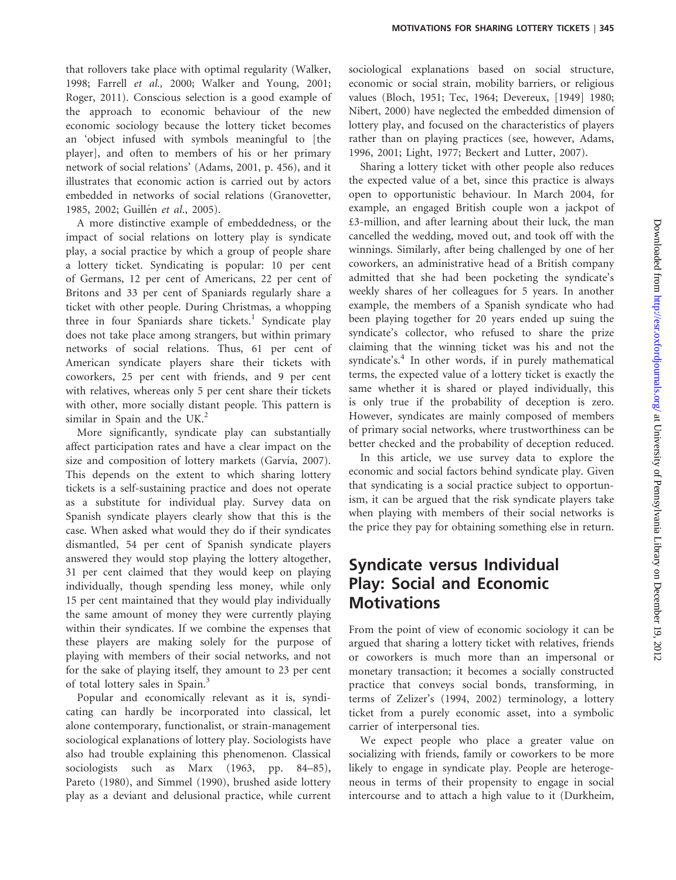that rollovers take place with optimal regularity (Walker, 1998; Farrell et al., 2000; Walker and Young, 2001; Roger, 2011). Conscious selection is a good example of the approach to economic behaviour of the new economic sociology because the lottery ticket becomes an 'object infused with symbols meaningful to [the player], and often to members of his or her primary network of social relations' (Adams, 2001, p. 456), and it illustrates that economic action is carried out by actors embedded in networks of social relations (Granovetter, 1985, 2002; Guillén et al., 2005).

A more distinctive example of embeddedness, or the impact of social relations on lottery play is syndicate play, a social practice by which a group of people share a lottery ticket. Syndicating is popular: 10 per cent of Germans, 12 per cent of Americans, 22 per cent of Britons and 33 per cent of Spaniards regularly share a ticket with other people. During Christmas, a whopping three in four Spaniards share tickets.<sup>1</sup> Syndicate play does not take place among strangers, but within primary networks of social relations. Thus, 61 per cent of American syndicate players share their tickets with coworkers, 25 per cent with friends, and 9 per cent with relatives, whereas only 5 per cent share their tickets with other, more socially distant people. This pattern is similar in Spain and the UK. $2$ 

More significantly, syndicate play can substantially affect participation rates and have a clear impact on the size and composition of lottery markets (Garvía, 2007). This depends on the extent to which sharing lottery tickets is a self-sustaining practice and does not operate as a substitute for individual play. Survey data on Spanish syndicate players clearly show that this is the case. When asked what would they do if their syndicates dismantled, 54 per cent of Spanish syndicate players answered they would stop playing the lottery altogether, 31 per cent claimed that they would keep on playing individually, though spending less money, while only 15 per cent maintained that they would play individually the same amount of money they were currently playing within their syndicates. If we combine the expenses that these players are making solely for the purpose of playing with members of their social networks, and not for the sake of playing itself, they amount to 23 per cent of total lottery sales in Spain.<sup>3</sup>

Popular and economically relevant as it is, syndicating can hardly be incorporated into classical, let alone contemporary, functionalist, or strain-management sociological explanations of lottery play. Sociologists have also had trouble explaining this phenomenon. Classical sociologists such as Marx (1963, pp. 84–85), Pareto (1980), and Simmel (1990), brushed aside lottery play as a deviant and delusional practice, while current sociological explanations based on social structure, economic or social strain, mobility barriers, or religious values (Bloch, 1951; Tec, 1964; Devereux, [1949] 1980; Nibert, 2000) have neglected the embedded dimension of lottery play, and focused on the characteristics of players rather than on playing practices (see, however, Adams, 1996, 2001; Light, 1977; Beckert and Lutter, 2007).

Sharing a lottery ticket with other people also reduces the expected value of a bet, since this practice is always open to opportunistic behaviour. In March 2004, for example, an engaged British couple won a jackpot of £3-million, and after learning about their luck, the man cancelled the wedding, moved out, and took off with the winnings. Similarly, after being challenged by one of her coworkers, an administrative head of a British company admitted that she had been pocketing the syndicate's weekly shares of her colleagues for 5 years. In another example, the members of a Spanish syndicate who had been playing together for 20 years ended up suing the syndicate's collector, who refused to share the prize claiming that the winning ticket was his and not the syndicate's. $4$  In other words, if in purely mathematical terms, the expected value of a lottery ticket is exactly the same whether it is shared or played individually, this is only true if the probability of deception is zero. However, syndicates are mainly composed of members of primary social networks, where trustworthiness can be better checked and the probability of deception reduced.

In this article, we use survey data to explore the economic and social factors behind syndicate play. Given that syndicating is a social practice subject to opportunism, it can be argued that the risk syndicate players take when playing with members of their social networks is the price they pay for obtaining something else in return.

### Syndicate versus Individual Play: Social and Economic **Motivations**

From the point of view of economic sociology it can be argued that sharing a lottery ticket with relatives, friends or coworkers is much more than an impersonal or monetary transaction; it becomes a socially constructed practice that conveys social bonds, transforming, in terms of Zelizer's (1994, 2002) terminology, a lottery ticket from a purely economic asset, into a symbolic carrier of interpersonal ties.

We expect people who place a greater value on socializing with friends, family or coworkers to be more likely to engage in syndicate play. People are heterogeneous in terms of their propensity to engage in social intercourse and to attach a high value to it (Durkheim,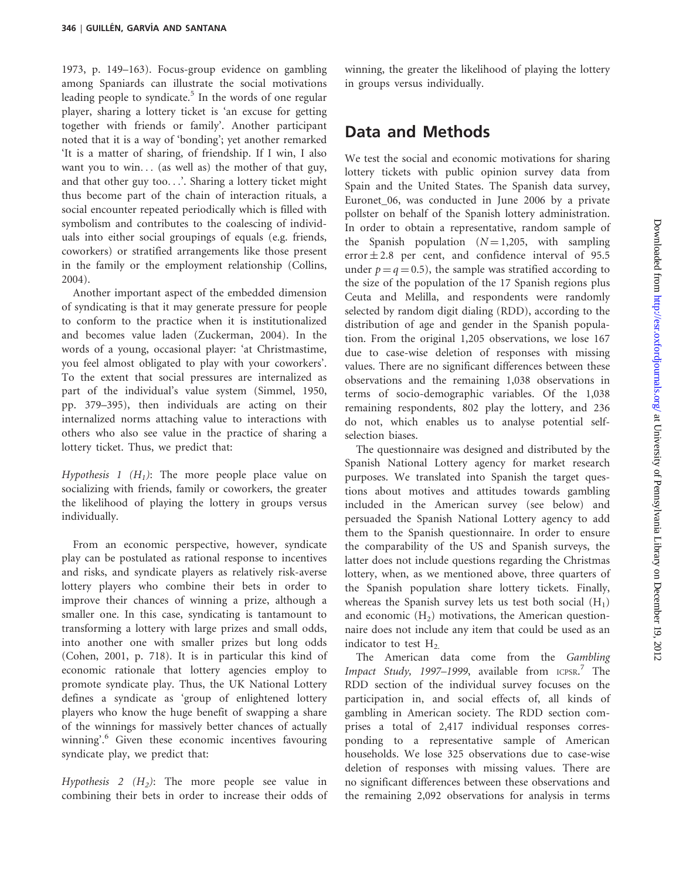1973, p. 149–163). Focus-group evidence on gambling among Spaniards can illustrate the social motivations leading people to syndicate.<sup>5</sup> In the words of one regular player, sharing a lottery ticket is 'an excuse for getting together with friends or family'. Another participant noted that it is a way of 'bonding'; yet another remarked 'It is a matter of sharing, of friendship. If I win, I also want you to win... (as well as) the mother of that guy, and that other guy too...'. Sharing a lottery ticket might thus become part of the chain of interaction rituals, a social encounter repeated periodically which is filled with symbolism and contributes to the coalescing of individuals into either social groupings of equals (e.g. friends, coworkers) or stratified arrangements like those present in the family or the employment relationship (Collins, 2004).

Another important aspect of the embedded dimension of syndicating is that it may generate pressure for people to conform to the practice when it is institutionalized and becomes value laden (Zuckerman, 2004). In the words of a young, occasional player: 'at Christmastime, you feel almost obligated to play with your coworkers'. To the extent that social pressures are internalized as part of the individual's value system (Simmel, 1950, pp. 379–395), then individuals are acting on their internalized norms attaching value to interactions with others who also see value in the practice of sharing a lottery ticket. Thus, we predict that:

Hypothesis 1  $(H_1)$ : The more people place value on socializing with friends, family or coworkers, the greater the likelihood of playing the lottery in groups versus individually.

From an economic perspective, however, syndicate play can be postulated as rational response to incentives and risks, and syndicate players as relatively risk-averse lottery players who combine their bets in order to improve their chances of winning a prize, although a smaller one. In this case, syndicating is tantamount to transforming a lottery with large prizes and small odds, into another one with smaller prizes but long odds (Cohen, 2001, p. 718). It is in particular this kind of economic rationale that lottery agencies employ to promote syndicate play. Thus, the UK National Lottery defines a syndicate as 'group of enlightened lottery players who know the huge benefit of swapping a share of the winnings for massively better chances of actually winning'.<sup>6</sup> Given these economic incentives favouring syndicate play, we predict that:

Hypothesis 2  $(H_2)$ : The more people see value in combining their bets in order to increase their odds of winning, the greater the likelihood of playing the lottery in groups versus individually.

#### Data and Methods

We test the social and economic motivations for sharing lottery tickets with public opinion survey data from Spain and the United States. The Spanish data survey, Euronet\_06, was conducted in June 2006 by a private pollster on behalf of the Spanish lottery administration. In order to obtain a representative, random sample of the Spanish population  $(N = 1,205,$  with sampling  $error \pm 2.8$  per cent, and confidence interval of 95.5 under  $p = q = 0.5$ , the sample was stratified according to the size of the population of the 17 Spanish regions plus Ceuta and Melilla, and respondents were randomly selected by random digit dialing (RDD), according to the distribution of age and gender in the Spanish population. From the original 1,205 observations, we lose 167 due to case-wise deletion of responses with missing values. There are no significant differences between these observations and the remaining 1,038 observations in terms of socio-demographic variables. Of the 1,038 remaining respondents, 802 play the lottery, and 236 do not, which enables us to analyse potential selfselection biases.

The questionnaire was designed and distributed by the Spanish National Lottery agency for market research purposes. We translated into Spanish the target questions about motives and attitudes towards gambling included in the American survey (see below) and persuaded the Spanish National Lottery agency to add them to the Spanish questionnaire. In order to ensure the comparability of the US and Spanish surveys, the latter does not include questions regarding the Christmas lottery, when, as we mentioned above, three quarters of the Spanish population share lottery tickets. Finally, whereas the Spanish survey lets us test both social  $(H_1)$ and economic  $(H_2)$  motivations, the American questionnaire does not include any item that could be used as an indicator to test  $H<sub>2</sub>$ .

The American data come from the Gambling Impact Study, 1997-1999, available from ICPSR.<sup>7</sup> The RDD section of the individual survey focuses on the participation in, and social effects of, all kinds of gambling in American society. The RDD section comprises a total of 2,417 individual responses corresponding to a representative sample of American households. We lose 325 observations due to case-wise deletion of responses with missing values. There are no significant differences between these observations and the remaining 2,092 observations for analysis in terms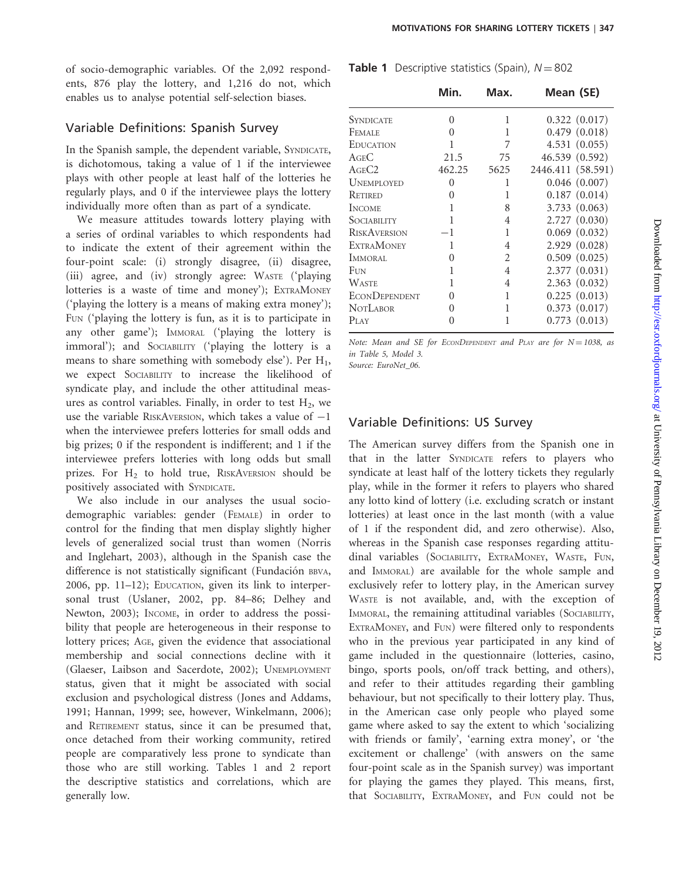of socio-demographic variables. Of the 2,092 respondents, 876 play the lottery, and 1,216 do not, which enables us to analyse potential self-selection biases.

#### Variable Definitions: Spanish Survey

In the Spanish sample, the dependent variable, SYNDICATE, is dichotomous, taking a value of 1 if the interviewee plays with other people at least half of the lotteries he regularly plays, and 0 if the interviewee plays the lottery individually more often than as part of a syndicate.

We measure attitudes towards lottery playing with a series of ordinal variables to which respondents had to indicate the extent of their agreement within the four-point scale: (i) strongly disagree, (ii) disagree, (iii) agree, and (iv) strongly agree: WASTE ('playing lotteries is a waste of time and money'); EXTRAMONEY ('playing the lottery is a means of making extra money'); FUN ('playing the lottery is fun, as it is to participate in any other game'); IMMORAL ('playing the lottery is immoral'); and SOCIABILITY ('playing the lottery is a means to share something with somebody else'). Per  $H_1$ , we expect SOCIABILITY to increase the likelihood of syndicate play, and include the other attitudinal measures as control variables. Finally, in order to test  $H_2$ , we use the variable RISKAVERSION, which takes a value of  $-1$ when the interviewee prefers lotteries for small odds and big prizes; 0 if the respondent is indifferent; and 1 if the interviewee prefers lotteries with long odds but small prizes. For  $H_2$  to hold true, RISKAVERSION should be positively associated with SYNDICATE.

We also include in our analyses the usual sociodemographic variables: gender (FEMALE) in order to control for the finding that men display slightly higher levels of generalized social trust than women (Norris and Inglehart, 2003), although in the Spanish case the difference is not statistically significant (Fundación BBVA, 2006, pp. 11–12); EDUCATION, given its link to interpersonal trust (Uslaner, 2002, pp. 84–86; Delhey and Newton, 2003); INCOME, in order to address the possibility that people are heterogeneous in their response to lottery prices; AGE, given the evidence that associational membership and social connections decline with it (Glaeser, Laibson and Sacerdote, 2002); UNEMPLOYMENT status, given that it might be associated with social exclusion and psychological distress (Jones and Addams, 1991; Hannan, 1999; see, however, Winkelmann, 2006); and RETIREMENT status, since it can be presumed that, once detached from their working community, retired people are comparatively less prone to syndicate than those who are still working. Tables 1 and 2 report the descriptive statistics and correlations, which are generally low.

|  | Table 1 Descriptive statistics (Spain), $N = 802$ |  |
|--|---------------------------------------------------|--|
|--|---------------------------------------------------|--|

|                      | Min.     | Max.           | Mean (SE)         |
|----------------------|----------|----------------|-------------------|
| <b>SYNDICATE</b>     | 0        | 1              | 0.322(0.017)      |
| FEMALE               | 0        | 1              | 0.479(0.018)      |
| <b>EDUCATION</b>     | 1        | 7              | 4.531 (0.055)     |
| AGEC                 | 21.5     | 75             | 46.539 (0.592)    |
| AGEC2                | 462.25   | 5625           | 2446.411 (58.591) |
| <b>UNEMPLOYED</b>    | $\Omega$ | 1              | 0.046(0.007)      |
| RETIRED              | 0        | 1              | 0.187(0.014)      |
| <b>INCOME</b>        | 1        | 8              | 3.733(0.063)      |
| <b>SOCIABILITY</b>   | 1        | 4              | 2.727(0.030)      |
| <b>RISKAVERSION</b>  | $-1$     | 1              | 0.069(0.032)      |
| <b>EXTRAMONEY</b>    | 1        | 4              | 2.929 (0.028)     |
| <b>IMMORAL</b>       | 0        | $\overline{c}$ | 0.509(0.025)      |
| Fun                  | 1        | 4              | 2.377(0.031)      |
| <b>WASTE</b>         | 1        | 4              | 2.363(0.032)      |
| <b>ECONDEPENDENT</b> | 0        | 1              | 0.225(0.013)      |
| NOTLABOR             | 0        | 1              | 0.373(0.017)      |
| P <sub>IAY</sub>     | 0        |                | 0.773(0.013)      |

Note: Mean and SE for ECONDEPENDENT and PLAY are for  $N = 1038$ , as in Table 5, Model 3.

Source: EuroNet\_06.

#### Variable Definitions: US Survey

The American survey differs from the Spanish one in that in the latter SYNDICATE refers to players who syndicate at least half of the lottery tickets they regularly play, while in the former it refers to players who shared any lotto kind of lottery (i.e. excluding scratch or instant lotteries) at least once in the last month (with a value of 1 if the respondent did, and zero otherwise). Also, whereas in the Spanish case responses regarding attitudinal variables (SOCIABILITY, EXTRAMONEY, WASTE, FUN, and IMMORAL) are available for the whole sample and exclusively refer to lottery play, in the American survey WASTE is not available, and, with the exception of IMMORAL, the remaining attitudinal variables (SOCIABILITY, EXTRAMONEY, and FUN) were filtered only to respondents who in the previous year participated in any kind of game included in the questionnaire (lotteries, casino, bingo, sports pools, on/off track betting, and others), and refer to their attitudes regarding their gambling behaviour, but not specifically to their lottery play. Thus, in the American case only people who played some game where asked to say the extent to which 'socializing with friends or family', 'earning extra money', or 'the excitement or challenge' (with answers on the same four-point scale as in the Spanish survey) was important for playing the games they played. This means, first, that SOCIABILITY, EXTRAMONEY, and FUN could not be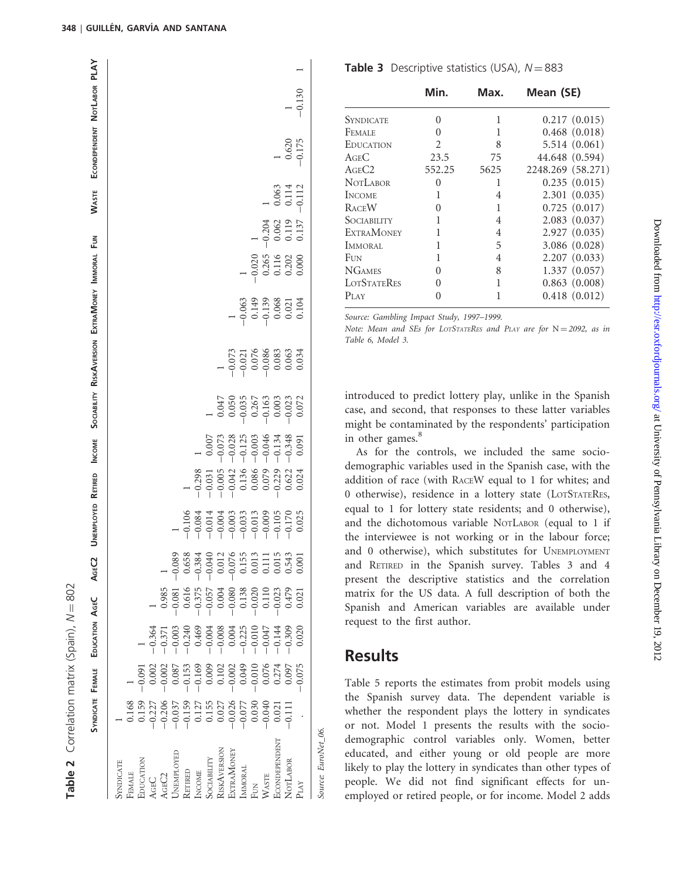|                                                 |                 |              |          |       |                                                                                                                   |          |       |          |          |       |                                                                                                                                                                                                                                                                                                                                   |               |       |              |                                               |                                                                                              | $-0.130$   |
|-------------------------------------------------|-----------------|--------------|----------|-------|-------------------------------------------------------------------------------------------------------------------|----------|-------|----------|----------|-------|-----------------------------------------------------------------------------------------------------------------------------------------------------------------------------------------------------------------------------------------------------------------------------------------------------------------------------------|---------------|-------|--------------|-----------------------------------------------|----------------------------------------------------------------------------------------------|------------|
| ECONDEPENDENT NOTLABOR PLAY                     |                 |              |          |       |                                                                                                                   |          |       |          |          |       |                                                                                                                                                                                                                                                                                                                                   |               |       |              | $\overline{a}$                                | $0.620$<br>$-0.175$                                                                          |            |
| <b>WASTE</b>                                    |                 |              |          |       |                                                                                                                   |          |       |          |          |       |                                                                                                                                                                                                                                                                                                                                   |               |       |              | $\begin{array}{c} 0.063 \\ 0.114 \end{array}$ |                                                                                              | $-0.112$   |
|                                                 |                 |              |          |       |                                                                                                                   |          |       |          |          |       |                                                                                                                                                                                                                                                                                                                                   |               |       |              |                                               | $-0.204$<br>$0.062$<br>$0.119$<br>$0.137$                                                    |            |
|                                                 |                 |              |          |       |                                                                                                                   |          |       |          |          |       |                                                                                                                                                                                                                                                                                                                                   |               |       |              |                                               | $\begin{array}{c} 1 \\ -0.020 \\ 0.265 \\ 0.116 \\ 0.202 \\ 0.000 \end{array}$               |            |
|                                                 |                 |              |          |       |                                                                                                                   |          |       |          |          |       |                                                                                                                                                                                                                                                                                                                                   |               |       |              |                                               | $\begin{array}{c} 1 \\ -0.063 \\ 0.149 \\ -0.139 \\ 0.068 \\ 0.021 \\ 0.0104 \\ \end{array}$ |            |
| SOCIABILITY RISKAVERSION EXTRAMONEY IMMORAL FUN |                 |              |          |       |                                                                                                                   |          |       |          |          |       | $\begin{array}{r} 1 \\ -0.073 \\ -0.021 \\ 0.076 \\ 0.086 \\ 0.083 \\ 0.063 \\ 0.004 \end{array}$                                                                                                                                                                                                                                 |               |       |              |                                               |                                                                                              |            |
|                                                 |                 |              |          |       |                                                                                                                   |          |       |          |          |       | $\begin{array}{c} 1 \\ 0.047 \\ 0.050 \\ -0.035 \\ 0.267 \\ -0.163 \\ -0.033 \\ 0.003 \\ -0.003 \\ 0.002 \\ 0.003 \\ \end{array}$                                                                                                                                                                                                 |               |       |              |                                               |                                                                                              |            |
| <b>INCOME</b>                                   |                 |              |          |       |                                                                                                                   |          |       |          |          |       | $\begin{array}{l} 0.007 \\ -0.073 \\ -0.028 \\ -0.125 \\ -0.039 \\ -0.046 \\ -0.348 \\ -0.049 \\ -0.348 \\ -0.091 \\ \end{array}$                                                                                                                                                                                                 |               |       |              |                                               |                                                                                              |            |
|                                                 |                 |              |          |       |                                                                                                                   |          |       |          |          |       | $\begin{array}{c} 1 \\ -0.298 \\ -0.031 \\ -0.042 \\ -0.042 \\ 0.136 \\ -0.086 \\ 0.072 \\ 0.024 \\ -0.030 \\ 0.024 \\ 0.024 \end{array}$                                                                                                                                                                                         |               |       |              |                                               |                                                                                              |            |
| <b>UNEMPLOYED RETIRED</b>                       |                 |              |          |       |                                                                                                                   |          | 0.106 |          |          |       | 084<br>0.014<br>0.003<br>0.013<br>0.009<br>0.015<br>0.170                                                                                                                                                                                                                                                                         |               |       |              |                                               |                                                                                              | 0.025      |
| AGEC2                                           |                 |              |          |       |                                                                                                                   | $-0.089$ | 0.658 | $-0.384$ | $-0.040$ | 0.012 | $-0.076$                                                                                                                                                                                                                                                                                                                          | 0.155         | 0.013 | 0.11         | 0.015                                         | 0.543                                                                                        | 0.001      |
| AGEC                                            |                 |              |          |       |                                                                                                                   |          |       |          |          |       | $\begin{array}{c} 0.985 \\ -0.081 \\ -0.051 \\ -0.051 \\ -0.057 \\ -0.057 \\ -0.030 \\ -0.030 \\ -0.030 \\ -0.020 \\ -0.023 \\ -0.033 \\ -0.033 \\ -0.033 \\ -0.033 \\ -0.033 \\ -0.033 \\ -0.033 \\ -0.033 \\ -0.033 \\ -0.033 \\ -0.033 \\ -0.033 \\ -0.033 \\ -0.033 \\ -0.033 \\ -0.033 \\ -0.033 \\ -0.033 \\ -0.033 \\ -0.$ |               |       |              |                                               |                                                                                              | 0.021      |
| <b>SYNDICATE FEMALE EDUCATION</b>               |                 |              |          | 0.364 |                                                                                                                   |          |       |          |          |       | $\begin{array}{l} 7.171 \\ -0.003 \\ -0.469 \\ -0.003 \\ -0.004 \\ -0.000 \\ -0.000 \\ -0.000 \\ -0.000 \\ -0.000 \\ -0.000 \\ -0.000 \\ -0.000 \\ -0.000 \\ -0.000 \\ -0.000 \\ -0.000 \\ -0.000 \\ -0.000 \\ -0.000 \\ -0.000 \\ -0.000 \\ -0.000 \\ -0.000 \\ -0.000 \\ -0.000 \\ -0.000 \\ -0.000 \\ -0.000 \\ -0.000 \\ -0.$ |               |       |              |                                               |                                                                                              | 0.020      |
|                                                 |                 |              |          |       |                                                                                                                   |          |       |          |          |       | $\begin{array}{r} 10000\\ -00000\\ -00000\\ -00000\\ -00000\\ -00000\\ -00000\\ -00000\\ -00000\\ -00000\\ -00000\\ -00000\\ -00000\\ -00000\\ -00000\\ -00000\\ -00000\\ -00000\\ -00000\\ -00000\\ -00000\\ -00000\\ -00000\\ -00000\\ -00000\\ -00000\\ -00000\\ -00000\\ -00000\\ -00000\\ -00$                               |               |       |              |                                               |                                                                                              | $-0.075$   |
|                                                 |                 |              |          |       |                                                                                                                   |          |       |          |          |       | $\begin{array}{r} 0.168 \\ 0.159 \\ -0.227 \\ -0.306 \\ -0.037 \\ -0.037 \\ -0.037 \\ -0.037 \\ -0.037 \\ -0.037 \\ -0.037 \\ -0.030 \\ -0.030 \\ -0.030 \\ -0.030 \\ -0.030 \\ -0.030 \\ -0.030 \\ -0.030 \\ -0.030 \\ -0.030 \\ -0.030 \\ -0.030 \\ -0.030 \\ -0.030 \\ -0.030 \\ -0.030 \\ -0.030 \\ -0.030 \\ -0.030 \\ -0.$  |               |       |              | $0.021$<br>$-0.111$                           |                                                                                              |            |
|                                                 | <b>YNDICATE</b> | <b>EMALE</b> | DUCATION |       | AGEC<br>AGEC2<br>UNEMPLOYED<br>UNEMPLOYED<br>RETIRED<br>NOOABILITY<br>SOCLABILITY<br>RETRAVERSION<br>RETRAVERSION |          |       |          |          |       |                                                                                                                                                                                                                                                                                                                                   | <b>MMORAL</b> | $FUN$ | <b>WASTE</b> | CONDEPENDENT                                  | <b>VOTLABOR</b>                                                                              | <b>AVI</b> |

|                   | Min.              | Max. | Mean (SE)         |
|-------------------|-------------------|------|-------------------|
| <b>SYNDICATE</b>  | 0                 | 1    | 0.217(0.015)      |
| FEMALE            | $\theta$          | 1    | 0.468(0.018)      |
| EDUCATION         | $\mathfrak{D}$    | 8    | 5.514(0.061)      |
| AGEC              | 23.5              | 75   | 44.648 (0.594)    |
| AGEC2             | 552.25            | 5625 | 2248.269 (58.271) |
| NOTLABOR          | 0                 |      | 0.235(0.015)      |
| <b>INCOME</b>     | 1                 | 4    | 2.301(0.035)      |
| <b>RACEW</b>      | 0                 |      | 0.725(0.017)      |
| SOCIABILITY       |                   | 4    | 2.083(0.037)      |
| <b>EXTRAMONEY</b> |                   | 4    | 2.927(0.035)      |
| <b>IMMORAL</b>    | 1                 | 5    | 3.086(0.028)      |
| Fun               | 1                 | 4    | 2.207(0.033)      |
| <b>NGAMES</b>     | $\mathbf{\Omega}$ | 8    | 1.337(0.057)      |
| LOTSTATERES       | $\mathbf{\Omega}$ |      | 0.863(0.008)      |
| $P_{\text{LAY}}$  |                   |      | 0.418(0.012)      |

Source: Gambling Impact Study, 1997–1999.

Note: Mean and SEs for LOTSTATERES and PLAY are for  $N = 2092$ , as in Table 6, Model 3.

introduced to predict lottery play, unlike in the Spanish case, and second, that responses to these latter variables might be contaminated by the respondents' participation in other games. 8

As for the controls, we included the same sociodemographic variables used in the Spanish case, with the addition of race (with RACEW equal to 1 for whites; and 0 otherwise), residence in a lottery state (LOT STATE RES , equal to 1 for lottery state residents; and 0 otherwise), and the dichotomous variable NOT LABOR (equal to 1 if the interviewee is not working or in the labour force; and 0 otherwise), which substitutes for UNEMPLOYMENT and RETIRED in the Spanish survey. Tables 3 and 4 present the descriptive statistics and the correlation matrix for the US data. A full description of both the Spanish and American variables are available under request to the first author.

#### **Results**

Source: EuroNet\_06.

Source: EuroNet\_06.

Table 5 reports the estimates from probit models using the Spanish survey data. The dependent variable is whether the respondent plays the lottery in syndicates or not. Model 1 presents the results with the sociodemographic control variables only. Women, better educated, and either young or old people are more likely to play the lottery in syndicates than other types of people. We did not find significant effects for unemployed or retired people, or for income. Model 2 adds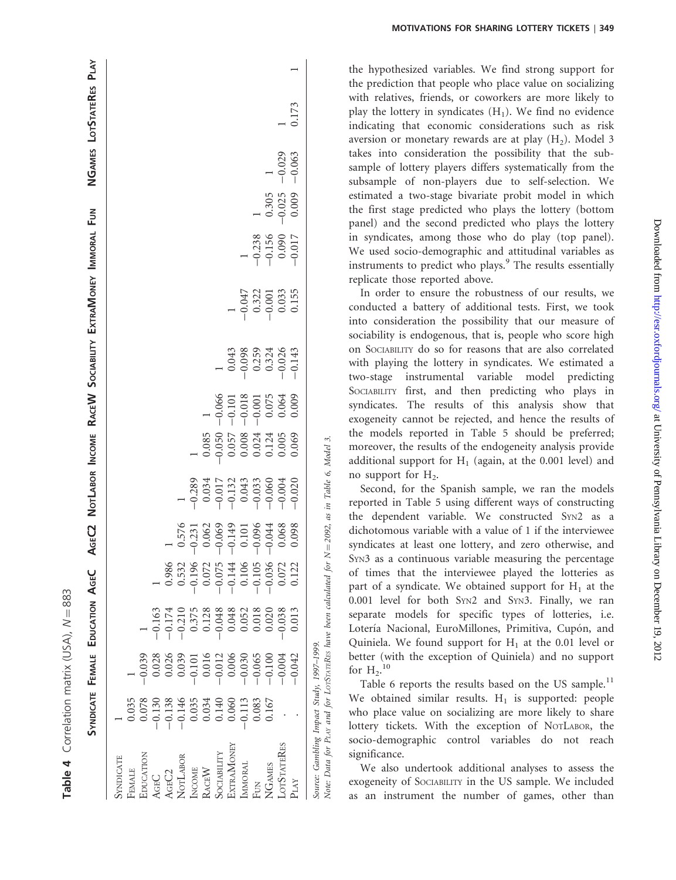| Ω<br>α<br>)<br>) |
|------------------|
|                  |
|                  |
|                  |
|                  |
|                  |
|                  |
|                  |
| Ò                |
|                  |
|                  |
|                  |
|                  |
|                  |
|                  |
| ה הדרו           |
|                  |
|                  |
|                  |
|                  |
| Orralation       |
|                  |
| 1                |
|                  |
|                  |
| I                |
|                  |
|                  |
| 4                |
|                  |
|                  |
|                  |
|                  |
|                  |

 $\sim$ 

NGAMES LOTSTATERES PLAY SYNDICATE FEMALE EDUCATION AGEC AGEC2 NOTLABOR INCOME RACEW SOCIABILITY EXTRAMONEY IMMORAL FUN NGAMES LOTSTATERES PLAY AGEC2 NOTLABOR INCOME RACEW SOCIABILITY EXTRAMONEY IMMORAL FUN SYNDICATE FEMALE EDUCATION AGEC

| <b>YNDICATE</b>                                                                       |                                                                                                                                                                                                                                                                                                                              |                                                                                                                                                                                                                                                                                                                       |                                                                                                                                        |                                                                                                                                                                            |                                                                                                                                                                                                                                                                                                                                     |                                                                                                               |                                                                                                        |                                                                                         |                                                        |                                                                         |                                                              |                    |                   |  |
|---------------------------------------------------------------------------------------|------------------------------------------------------------------------------------------------------------------------------------------------------------------------------------------------------------------------------------------------------------------------------------------------------------------------------|-----------------------------------------------------------------------------------------------------------------------------------------------------------------------------------------------------------------------------------------------------------------------------------------------------------------------|----------------------------------------------------------------------------------------------------------------------------------------|----------------------------------------------------------------------------------------------------------------------------------------------------------------------------|-------------------------------------------------------------------------------------------------------------------------------------------------------------------------------------------------------------------------------------------------------------------------------------------------------------------------------------|---------------------------------------------------------------------------------------------------------------|--------------------------------------------------------------------------------------------------------|-----------------------------------------------------------------------------------------|--------------------------------------------------------|-------------------------------------------------------------------------|--------------------------------------------------------------|--------------------|-------------------|--|
| <b>FIMALE</b>                                                                         | $\begin{array}{c} 1.035 \\ 0.078 \\ 0.078 \\ 0.130 \\ -0.138 \\ 0.035 \\ -0.138 \\ 0.033 \\ -0.033 \\ -0.033 \\ -0.033 \\ -0.033 \\ -0.167 \\ -0.167 \\ -0.167 \\ -0.167 \\ -0.167 \\ -0.167 \\ -0.167 \\ -0.167 \\ -0.167 \\ -0.167 \\ -0.167 \\ -0.167 \\ -0.167 \\ -0.167 \\ -0.167 \\ -0.167 \\ -0.167 \\ -0.167 \\ -0.$ |                                                                                                                                                                                                                                                                                                                       |                                                                                                                                        |                                                                                                                                                                            |                                                                                                                                                                                                                                                                                                                                     |                                                                                                               |                                                                                                        |                                                                                         |                                                        |                                                                         |                                                              |                    |                   |  |
| <b>IDUCATION</b>                                                                      |                                                                                                                                                                                                                                                                                                                              |                                                                                                                                                                                                                                                                                                                       |                                                                                                                                        |                                                                                                                                                                            |                                                                                                                                                                                                                                                                                                                                     |                                                                                                               |                                                                                                        |                                                                                         |                                                        |                                                                         |                                                              |                    |                   |  |
|                                                                                       |                                                                                                                                                                                                                                                                                                                              |                                                                                                                                                                                                                                                                                                                       |                                                                                                                                        |                                                                                                                                                                            |                                                                                                                                                                                                                                                                                                                                     |                                                                                                               |                                                                                                        |                                                                                         |                                                        |                                                                         |                                                              |                    |                   |  |
| AgeC<br>AgeC2<br>NotLabor<br>Ncome<br>NaceW<br>Recability<br>Sociability<br>EvraMoney |                                                                                                                                                                                                                                                                                                                              |                                                                                                                                                                                                                                                                                                                       | $\begin{array}{r} 1 \\ 0.986 \\ 0.532 \\ 0.196 \\ 0.072 \\ 0.075 \\ 0.075 \\ 0.044 \\ 0.036 \\ 0.072 \\ 0.036 \\ 0.072 \\ \end{array}$ |                                                                                                                                                                            |                                                                                                                                                                                                                                                                                                                                     |                                                                                                               |                                                                                                        |                                                                                         |                                                        |                                                                         |                                                              |                    |                   |  |
|                                                                                       |                                                                                                                                                                                                                                                                                                                              |                                                                                                                                                                                                                                                                                                                       |                                                                                                                                        |                                                                                                                                                                            |                                                                                                                                                                                                                                                                                                                                     |                                                                                                               |                                                                                                        |                                                                                         |                                                        |                                                                         |                                                              |                    |                   |  |
|                                                                                       |                                                                                                                                                                                                                                                                                                                              |                                                                                                                                                                                                                                                                                                                       |                                                                                                                                        |                                                                                                                                                                            |                                                                                                                                                                                                                                                                                                                                     |                                                                                                               |                                                                                                        |                                                                                         |                                                        |                                                                         |                                                              |                    |                   |  |
|                                                                                       |                                                                                                                                                                                                                                                                                                                              |                                                                                                                                                                                                                                                                                                                       |                                                                                                                                        | $\begin{array}{r} 1 \\ 0.576 \\ 0.231 \\ 0.062 \\ 0.069 \\ 0.074 \\ 0.044 \\ 0.096 \\ 0.009 \\ 0.004 \\ 0.008 \\ 0.008 \\ 0.008 \\ 0.008 \\ 0.008 \\ 0.008 \\ \end{array}$ | $\begin{array}{c} 1 \\ -0.289 \\ -0.034 \\ -0.017 \\ -0.017 \\ -0.033 \\ -0.033 \\ -0.033 \\ -0.004 \\ -0.004 \\ -0.004 \\ -0.004 \\ -0.004 \\ -0.004 \\ -0.004 \\ -0.004 \\ -0.004 \\ -0.004 \\ -0.004 \\ -0.004 \\ -0.004 \\ -0.004 \\ -0.004 \\ -0.004 \\ -0.004 \\ -0.004 \\ -0.004 \\ -0.004 \\ -0.004 \\ -0.004 \\ -0.004 \\$ | $\begin{array}{r} 1 \\ 0.085 \\ 0.057 \\ 0.057 \\ 0.008 \\ 0.008 \\ 0.0124 \\ 0.005 \\ 0.0069 \\ \end{array}$ |                                                                                                        |                                                                                         |                                                        |                                                                         |                                                              |                    |                   |  |
|                                                                                       |                                                                                                                                                                                                                                                                                                                              |                                                                                                                                                                                                                                                                                                                       |                                                                                                                                        |                                                                                                                                                                            |                                                                                                                                                                                                                                                                                                                                     |                                                                                                               |                                                                                                        |                                                                                         |                                                        |                                                                         |                                                              |                    |                   |  |
|                                                                                       |                                                                                                                                                                                                                                                                                                                              |                                                                                                                                                                                                                                                                                                                       |                                                                                                                                        |                                                                                                                                                                            |                                                                                                                                                                                                                                                                                                                                     |                                                                                                               |                                                                                                        |                                                                                         |                                                        |                                                                         |                                                              |                    |                   |  |
|                                                                                       |                                                                                                                                                                                                                                                                                                                              |                                                                                                                                                                                                                                                                                                                       |                                                                                                                                        |                                                                                                                                                                            |                                                                                                                                                                                                                                                                                                                                     |                                                                                                               | $\begin{array}{c} 1 \\ -0.066 \\ -0.101 \\ -0.018 \\ 0.075 \\ -0.001 \\ 0.004 \\ 0.004 \\ \end{array}$ | $\begin{array}{c} 1 \\ 0.043 \\ 0.098 \\ 0.259 \\ 0.324 \\ 0.043 \\ -0.143 \end{array}$ | $-0.047$<br>$-0.322$<br>$-0.001$<br>$-0.0033$<br>0.155 |                                                                         |                                                              |                    |                   |  |
|                                                                                       |                                                                                                                                                                                                                                                                                                                              |                                                                                                                                                                                                                                                                                                                       |                                                                                                                                        |                                                                                                                                                                            |                                                                                                                                                                                                                                                                                                                                     |                                                                                                               |                                                                                                        |                                                                                         |                                                        |                                                                         |                                                              |                    |                   |  |
| <b>JGAMES</b>                                                                         |                                                                                                                                                                                                                                                                                                                              |                                                                                                                                                                                                                                                                                                                       |                                                                                                                                        |                                                                                                                                                                            |                                                                                                                                                                                                                                                                                                                                     |                                                                                                               |                                                                                                        |                                                                                         |                                                        |                                                                         |                                                              |                    |                   |  |
| OTSTATERES                                                                            |                                                                                                                                                                                                                                                                                                                              |                                                                                                                                                                                                                                                                                                                       |                                                                                                                                        |                                                                                                                                                                            |                                                                                                                                                                                                                                                                                                                                     |                                                                                                               |                                                                                                        |                                                                                         |                                                        | $\begin{array}{c} 1 \\ -0.238 \\ -0.156 \\ 0.090 \\ -0.017 \end{array}$ | $\begin{array}{c} 1 \\ 0.305 \\ -0.025 \\ 0.009 \end{array}$ | $\frac{1}{-0.029}$ |                   |  |
| <b>NTI</b>                                                                            |                                                                                                                                                                                                                                                                                                                              | $\begin{array}{r} 1,039 \\ -9,0328 \\ -9,0036 \\ -9,0036 \\ -9,0036 \\ -9,0036 \\ -9,0036 \\ -9,0036 \\ -9,0036 \\ -9,0036 \\ -9,0036 \\ -9,0036 \\ -9,0036 \\ -9,0036 \\ -9,0036 \\ -9,0036 \\ -9,0036 \\ -9,0036 \\ -9,0036 \\ -9,0036 \\ -9,0036 \\ -9,0036 \\ -9,0036 \\ -9,0036 \\ -9,0036 \\ -9,0036 \\ -9,003$ |                                                                                                                                        |                                                                                                                                                                            |                                                                                                                                                                                                                                                                                                                                     |                                                                                                               |                                                                                                        |                                                                                         |                                                        |                                                                         |                                                              |                    | $\frac{1}{2.173}$ |  |
| Source: Gambling Impact Study, 1997-1999.                                             |                                                                                                                                                                                                                                                                                                                              |                                                                                                                                                                                                                                                                                                                       |                                                                                                                                        |                                                                                                                                                                            |                                                                                                                                                                                                                                                                                                                                     |                                                                                                               |                                                                                                        |                                                                                         |                                                        |                                                                         |                                                              |                    |                   |  |

Note: Data for PLAY and for LOTSTATERES have been calculated for  $N = 2092$ , as in Table 6, Model 3.

Note: Data for PLAY and

for LOTSTATERES have been calculated for  $N = 2092$ , as in Table 6, Model 3.

the hypothesized variables. We find strong support for the prediction that people who place value on socializing with relatives, friends, or coworkers are more likely to play the lottery in syndicates  $(H_1)$ . We find no evidence indicating that economic considerations such as risk aversion or monetary rewards are at play  $(H_2)$ . Model 3 takes into consideration the possibility that the subsample of lottery players differs systematically from the subsample of non-players due to self-selection. We estimated a two-stage bivariate probit model in which the first stage predicted who plays the lottery (bottom panel) and the second predicted who plays the lottery in syndicates, among those who do play (top panel). We used socio-demographic and attitudinal variables as instruments to predict who plays. <sup>9</sup> The results essentially replicate those reported above.

In order to ensure the robustness of our results, we conducted a battery of additional tests. First, we took into consideration the possibility that our measure of sociability is endogenous, that is, people who score high on SOCIABILITY do so for reasons that are also correlated with playing the lottery in syndicates. We estimated a two-stage instrumental variable model predicting SOCIABILITY first, and then predicting who plays in syndicates. The results of this analysis show that exogeneity cannot be rejected, and hence the results of the models reported in Table 5 should be preferred; moreover, the results of the endogeneity analysis provide additional support for H <sup>1</sup> (again, at the 0.001 level) and no support for H 2 .

Second, for the Spanish sample, we ran the models reported in Table 5 using different ways of constructing the dependent variable. We constructed SYN2 as a dichotomous variable with a value of 1 if the interviewee syndicates at least one lottery, and zero otherwise, and SYN3 as a continuous variable measuring the percentage of times that the interviewee played the lotteries as part of a syndicate. We obtained support for  $H_1$  at the 0.001 level for both SYN2 and SYN3. Finally, we ran separate models for specific types of lotteries, i.e. Lotería Nacional, EuroMillones, Primitiva, Cupón, and Quiniela. We found support for H <sup>1</sup> at the 0.01 level or better (with the exception of Quiniela) and no support for  $H_2$ <sup>10</sup>

Table 6 reports the results based on the US sample.<sup>11</sup> We obtained similar results. H <sup>1</sup> is supported: people who place value on socializing are more likely to share lottery tickets. With the exception of NOT LABOR, the socio-demographic control variables do not reach significance.

We also undertook additional analyses to assess the exogeneity of SOCIABILITY in the US sample. We included as an instrument the number of games, other than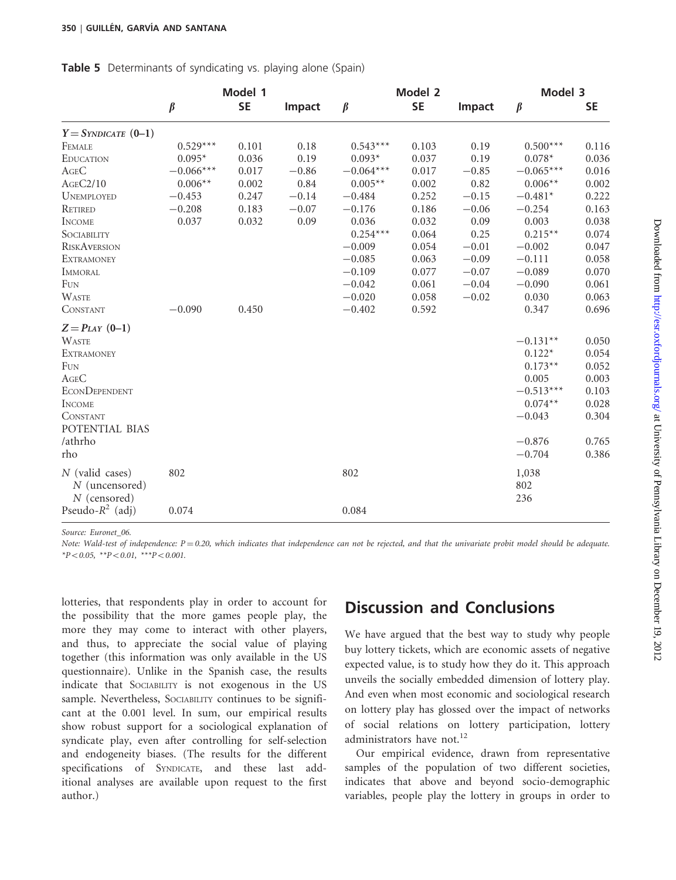| Table 5 Determinants of syndicating vs. playing alone (Spain) |  |  |  |
|---------------------------------------------------------------|--|--|--|
|---------------------------------------------------------------|--|--|--|

|                       |             | Model 1   |               |             | Model 2   |               | Model 3     |           |
|-----------------------|-------------|-----------|---------------|-------------|-----------|---------------|-------------|-----------|
|                       | $\beta$     | <b>SE</b> | <b>Impact</b> | $\beta$     | <b>SE</b> | <b>Impact</b> | $\beta$     | <b>SE</b> |
| $Y = SynolcatE$ (0-1) |             |           |               |             |           |               |             |           |
| FEMALE                | $0.529***$  | 0.101     | 0.18          | $0.543***$  | 0.103     | 0.19          | $0.500***$  | 0.116     |
| <b>EDUCATION</b>      | $0.095*$    | 0.036     | 0.19          | $0.093*$    | 0.037     | 0.19          | $0.078*$    | 0.036     |
| AGEC                  | $-0.066***$ | 0.017     | $-0.86$       | $-0.064***$ | 0.017     | $-0.85$       | $-0.065***$ | 0.016     |
| AGEC2/10              | $0.006**$   | 0.002     | 0.84          | $0.005**$   | 0.002     | 0.82          | $0.006**$   | 0.002     |
| <b>UNEMPLOYED</b>     | $-0.453$    | 0.247     | $-0.14$       | $-0.484$    | 0.252     | $-0.15$       | $-0.481*$   | 0.222     |
| <b>RETIRED</b>        | $-0.208$    | 0.183     | $-0.07$       | $-0.176$    | 0.186     | $-0.06$       | $-0.254$    | 0.163     |
| <b>INCOME</b>         | 0.037       | 0.032     | 0.09          | 0.036       | 0.032     | 0.09          | 0.003       | 0.038     |
| <b>SOCIABILITY</b>    |             |           |               | $0.254***$  | 0.064     | 0.25          | $0.215**$   | 0.074     |
| <b>RISKAVERSION</b>   |             |           |               | $-0.009$    | 0.054     | $-0.01$       | $-0.002$    | 0.047     |
| <b>EXTRAMONEY</b>     |             |           |               | $-0.085$    | 0.063     | $-0.09$       | $-0.111$    | 0.058     |
| <b>IMMORAL</b>        |             |           |               | $-0.109$    | 0.077     | $-0.07$       | $-0.089$    | 0.070     |
| FUN                   |             |           |               | $-0.042$    | 0.061     | $-0.04$       | $-0.090$    | 0.061     |
| <b>WASTE</b>          |             |           |               | $-0.020$    | 0.058     | $-0.02$       | 0.030       | 0.063     |
| <b>CONSTANT</b>       | $-0.090$    | 0.450     |               | $-0.402$    | 0.592     |               | 0.347       | 0.696     |
| $Z = P_{LAY} (0-1)$   |             |           |               |             |           |               |             |           |
| <b>WASTE</b>          |             |           |               |             |           |               | $-0.131**$  | 0.050     |
| <b>EXTRAMONEY</b>     |             |           |               |             |           |               | $0.122*$    | 0.054     |
| FUN                   |             |           |               |             |           |               | $0.173**$   | 0.052     |
| AGEC                  |             |           |               |             |           |               | 0.005       | 0.003     |
| <b>ECONDEPENDENT</b>  |             |           |               |             |           |               | $-0.513***$ | 0.103     |
| <b>INCOME</b>         |             |           |               |             |           |               | $0.074**$   | 0.028     |
| <b>CONSTANT</b>       |             |           |               |             |           |               | $-0.043$    | 0.304     |
| POTENTIAL BIAS        |             |           |               |             |           |               |             |           |
| /athrho               |             |           |               |             |           |               | $-0.876$    | 0.765     |
| rho                   |             |           |               |             |           |               | $-0.704$    | 0.386     |
| $N$ (valid cases)     | 802         |           |               | 802         |           |               | 1,038       |           |
| $N$ (uncensored)      |             |           |               |             |           |               | 802         |           |
| $N$ (censored)        |             |           |               |             |           |               | 236         |           |
| Pseudo- $R^2$ (adj)   | 0.074       |           |               | 0.084       |           |               |             |           |
|                       |             |           |               |             |           |               |             |           |

Source: Euronet\_06.

Note: Wald-test of independence:  $P = 0.20$ , which indicates that independence can not be rejected, and that the univariate probit model should be adequate.  $*P<0.05$ ,  $*P<0.01$ ,  $**P<0.001$ .

lotteries, that respondents play in order to account for the possibility that the more games people play, the more they may come to interact with other players, and thus, to appreciate the social value of playing together (this information was only available in the US questionnaire). Unlike in the Spanish case, the results indicate that SOCIABILITY is not exogenous in the US sample. Nevertheless, SOCIABILITY continues to be significant at the 0.001 level. In sum, our empirical results show robust support for a sociological explanation of syndicate play, even after controlling for self-selection and endogeneity biases. (The results for the different specifications of SYNDICATE, and these last additional analyses are available upon request to the first author.)

#### Discussion and Conclusions

We have argued that the best way to study why people buy lottery tickets, which are economic assets of negative expected value, is to study how they do it. This approach unveils the socially embedded dimension of lottery play. And even when most economic and sociological research on lottery play has glossed over the impact of networks of social relations on lottery participation, lottery administrators have not.<sup>12</sup>

Our empirical evidence, drawn from representative samples of the population of two different societies, indicates that above and beyond socio-demographic variables, people play the lottery in groups in order to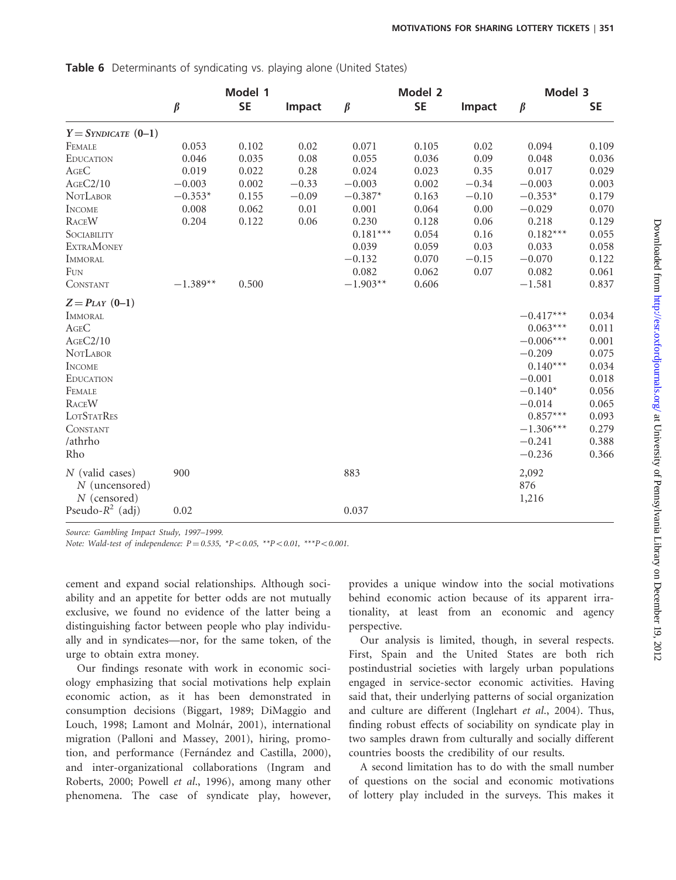|                          | Model 1    |           |         | Model 2    | Model 3   |         |             |           |
|--------------------------|------------|-----------|---------|------------|-----------|---------|-------------|-----------|
|                          | $\beta$    | <b>SE</b> | Impact  | $\beta$    | <b>SE</b> | Impact  | $\beta$     | <b>SE</b> |
| $Y = S$ YNDICATE $(0-1)$ |            |           |         |            |           |         |             |           |
| FEMALE                   | 0.053      | 0.102     | 0.02    | 0.071      | 0.105     | 0.02    | 0.094       | 0.109     |
| <b>EDUCATION</b>         | 0.046      | 0.035     | 0.08    | 0.055      | 0.036     | 0.09    | 0.048       | 0.036     |
| AGEC                     | 0.019      | 0.022     | 0.28    | 0.024      | 0.023     | 0.35    | 0.017       | 0.029     |
| AGEC2/10                 | $-0.003$   | 0.002     | $-0.33$ | $-0.003$   | 0.002     | $-0.34$ | $-0.003$    | 0.003     |
| <b>NOTLABOR</b>          | $-0.353*$  | 0.155     | $-0.09$ | $-0.387*$  | 0.163     | $-0.10$ | $-0.353*$   | 0.179     |
| <b>INCOME</b>            | 0.008      | 0.062     | 0.01    | 0.001      | 0.064     | 0.00    | $-0.029$    | 0.070     |
| <b>RACEW</b>             | 0.204      | 0.122     | 0.06    | 0.230      | 0.128     | 0.06    | 0.218       | 0.129     |
| <b>SOCIABILITY</b>       |            |           |         | $0.181***$ | 0.054     | 0.16    | $0.182***$  | 0.055     |
| <b>EXTRAMONEY</b>        |            |           |         | 0.039      | 0.059     | 0.03    | 0.033       | 0.058     |
| <b>IMMORAL</b>           |            |           |         | $-0.132$   | 0.070     | $-0.15$ | $-0.070$    | 0.122     |
| FUN                      |            |           |         | 0.082      | 0.062     | 0.07    | 0.082       | 0.061     |
| <b>CONSTANT</b>          | $-1.389**$ | 0.500     |         | $-1.903**$ | 0.606     |         | $-1.581$    | 0.837     |
| $Z = P_{LAY} (0-1)$      |            |           |         |            |           |         |             |           |
| <b>IMMORAL</b>           |            |           |         |            |           |         | $-0.417***$ | 0.034     |
| AGEC                     |            |           |         |            |           |         | $0.063***$  | 0.011     |
| AGEC2/10                 |            |           |         |            |           |         | $-0.006***$ | 0.001     |
| <b>NOTLABOR</b>          |            |           |         |            |           |         | $-0.209$    | 0.075     |
| <b>INCOME</b>            |            |           |         |            |           |         | $0.140***$  | 0.034     |
| <b>EDUCATION</b>         |            |           |         |            |           |         | $-0.001$    | 0.018     |
| FEMALE                   |            |           |         |            |           |         | $-0.140*$   | 0.056     |
| <b>RACEW</b>             |            |           |         |            |           |         | $-0.014$    | 0.065     |
| <b>LOTSTATRES</b>        |            |           |         |            |           |         | $0.857***$  | 0.093     |
| <b>CONSTANT</b>          |            |           |         |            |           |         | $-1.306***$ | 0.279     |
| /athrho                  |            |           |         |            |           |         | $-0.241$    | 0.388     |
| Rho                      |            |           |         |            |           |         | $-0.236$    | 0.366     |
| $N$ (valid cases)        | 900        |           |         | 883        |           |         | 2,092       |           |
| $N$ (uncensored)         |            |           |         |            |           |         | 876         |           |
| $N$ (censored)           |            |           |         |            |           |         | 1,216       |           |
| Pseudo- $R^2$ (adj)      | 0.02       |           |         | 0.037      |           |         |             |           |

Table 6 Determinants of syndicating vs. playing alone (United States)

Source: Gambling Impact Study, 1997–1999.

Note: Wald-test of independence:  $P = 0.535$ ,  $*P < 0.05$ ,  $*P < 0.01$ ,  $*P < 0.001$ .

cement and expand social relationships. Although sociability and an appetite for better odds are not mutually exclusive, we found no evidence of the latter being a distinguishing factor between people who play individually and in syndicates—nor, for the same token, of the urge to obtain extra money.

Our findings resonate with work in economic sociology emphasizing that social motivations help explain economic action, as it has been demonstrated in consumption decisions (Biggart, 1989; DiMaggio and Louch, 1998; Lamont and Molnár, 2001), international migration (Palloni and Massey, 2001), hiring, promotion, and performance (Fernández and Castilla, 2000), and inter-organizational collaborations (Ingram and Roberts, 2000; Powell et al., 1996), among many other phenomena. The case of syndicate play, however,

provides a unique window into the social motivations behind economic action because of its apparent irrationality, at least from an economic and agency perspective.

Our analysis is limited, though, in several respects. First, Spain and the United States are both rich postindustrial societies with largely urban populations engaged in service-sector economic activities. Having said that, their underlying patterns of social organization and culture are different (Inglehart et al., 2004). Thus, finding robust effects of sociability on syndicate play in two samples drawn from culturally and socially different countries boosts the credibility of our results.

A second limitation has to do with the small number of questions on the social and economic motivations of lottery play included in the surveys. This makes it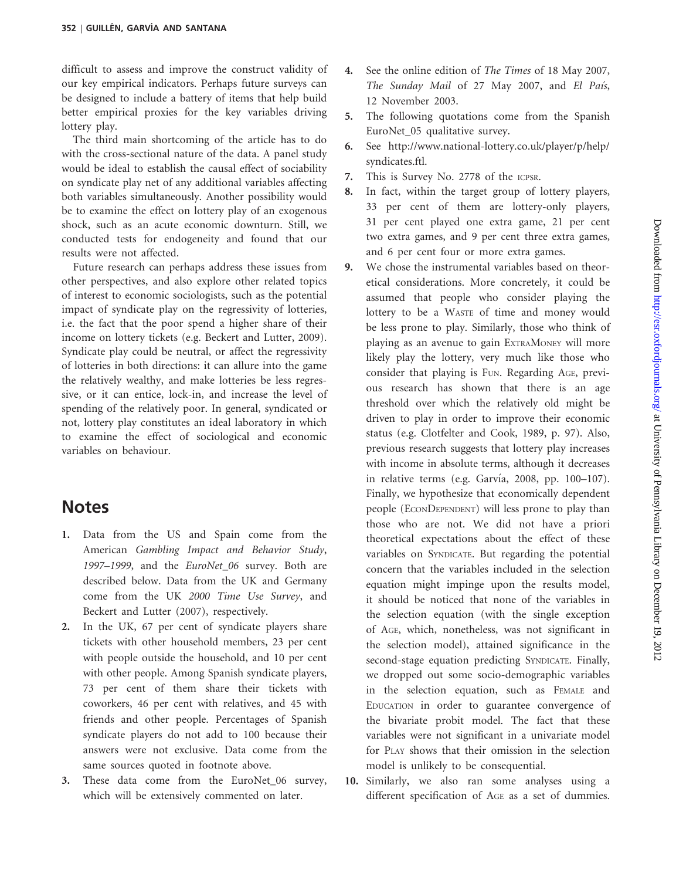difficult to assess and improve the construct validity of our key empirical indicators. Perhaps future surveys can be designed to include a battery of items that help build better empirical proxies for the key variables driving lottery play.

The third main shortcoming of the article has to do with the cross-sectional nature of the data. A panel study would be ideal to establish the causal effect of sociability on syndicate play net of any additional variables affecting both variables simultaneously. Another possibility would be to examine the effect on lottery play of an exogenous shock, such as an acute economic downturn. Still, we conducted tests for endogeneity and found that our results were not affected.

Future research can perhaps address these issues from other perspectives, and also explore other related topics of interest to economic sociologists, such as the potential impact of syndicate play on the regressivity of lotteries, i.e. the fact that the poor spend a higher share of their income on lottery tickets (e.g. Beckert and Lutter, 2009). Syndicate play could be neutral, or affect the regressivity of lotteries in both directions: it can allure into the game the relatively wealthy, and make lotteries be less regressive, or it can entice, lock-in, and increase the level of spending of the relatively poor. In general, syndicated or not, lottery play constitutes an ideal laboratory in which to examine the effect of sociological and economic variables on behaviour.

#### **Notes**

- 1. Data from the US and Spain come from the American Gambling Impact and Behavior Study, 1997–1999, and the EuroNet 06 survey. Both are described below. Data from the UK and Germany come from the UK 2000 Time Use Survey, and Beckert and Lutter (2007), respectively.
- 2. In the UK, 67 per cent of syndicate players share tickets with other household members, 23 per cent with people outside the household, and 10 per cent with other people. Among Spanish syndicate players, 73 per cent of them share their tickets with coworkers, 46 per cent with relatives, and 45 with friends and other people. Percentages of Spanish syndicate players do not add to 100 because their answers were not exclusive. Data come from the same sources quoted in footnote above.
- 3. These data come from the EuroNet\_06 survey, which will be extensively commented on later.
- 4. See the online edition of The Times of 18 May 2007, The Sunday Mail of 27 May 2007, and El País, 12 November 2003.
- 5. The following quotations come from the Spanish EuroNet\_05 qualitative survey.
- 6. See http://www.national-lottery.co.uk/player/p/help/ syndicates.ftl.
- 7. This is Survey No. 2778 of the ICPSR.
- 8. In fact, within the target group of lottery players, 33 per cent of them are lottery-only players, 31 per cent played one extra game, 21 per cent two extra games, and 9 per cent three extra games, and 6 per cent four or more extra games.
- 9. We chose the instrumental variables based on theoretical considerations. More concretely, it could be assumed that people who consider playing the lottery to be a WASTE of time and money would be less prone to play. Similarly, those who think of playing as an avenue to gain EXTRAMONEY will more likely play the lottery, very much like those who consider that playing is FUN. Regarding AGE, previous research has shown that there is an age threshold over which the relatively old might be driven to play in order to improve their economic status (e.g. Clotfelter and Cook, 1989, p. 97). Also, previous research suggests that lottery play increases with income in absolute terms, although it decreases in relative terms (e.g. Garvía, 2008, pp.  $100-107$ ). Finally, we hypothesize that economically dependent people (ECONDEPENDENT) will less prone to play than those who are not. We did not have a priori theoretical expectations about the effect of these variables on SYNDICATE. But regarding the potential concern that the variables included in the selection equation might impinge upon the results model, it should be noticed that none of the variables in the selection equation (with the single exception of AGE, which, nonetheless, was not significant in the selection model), attained significance in the second-stage equation predicting SYNDICATE. Finally, we dropped out some socio-demographic variables in the selection equation, such as FEMALE and EDUCATION in order to guarantee convergence of the bivariate probit model. The fact that these variables were not significant in a univariate model for PLAY shows that their omission in the selection model is unlikely to be consequential.
- 10. Similarly, we also ran some analyses using a different specification of AGE as a set of dummies.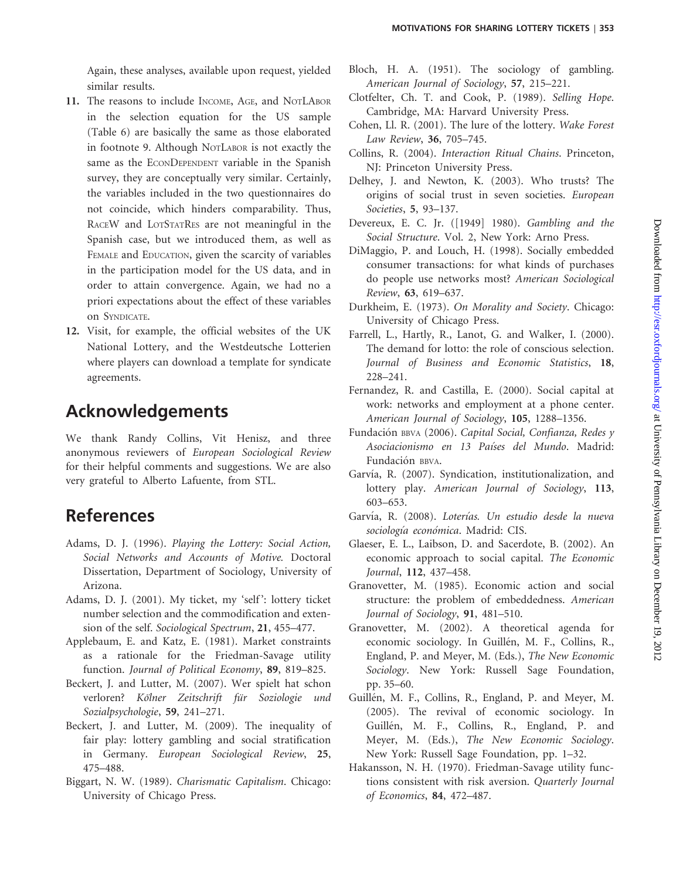Again, these analyses, available upon request, yielded similar results.

- 11. The reasons to include INCOME, AGE, and NOTLABOR in the selection equation for the US sample (Table 6) are basically the same as those elaborated in footnote 9. Although NOTLABOR is not exactly the same as the ECONDEPENDENT variable in the Spanish survey, they are conceptually very similar. Certainly, the variables included in the two questionnaires do not coincide, which hinders comparability. Thus, RACEW and LOTSTATRES are not meaningful in the Spanish case, but we introduced them, as well as FEMALE and EDUCATION, given the scarcity of variables in the participation model for the US data, and in order to attain convergence. Again, we had no a priori expectations about the effect of these variables on SYNDICATE.
- 12. Visit, for example, the official websites of the UK National Lottery, and the Westdeutsche Lotterien where players can download a template for syndicate agreements.

## Acknowledgements

We thank Randy Collins, Vit Henisz, and three anonymous reviewers of European Sociological Review for their helpful comments and suggestions. We are also very grateful to Alberto Lafuente, from STL.

# References

- Adams, D. J. (1996). Playing the Lottery: Social Action, Social Networks and Accounts of Motive. Doctoral Dissertation, Department of Sociology, University of Arizona.
- Adams, D. J. (2001). My ticket, my 'self': lottery ticket number selection and the commodification and extension of the self. Sociological Spectrum, 21, 455–477.
- Applebaum, E. and Katz, E. (1981). Market constraints as a rationale for the Friedman-Savage utility function. Journal of Political Economy, 89, 819–825.
- Beckert, J. and Lutter, M. (2007). Wer spielt hat schon verloren? Kölner Zeitschrift für Soziologie und Sozialpsychologie, 59, 241–271.
- Beckert, J. and Lutter, M. (2009). The inequality of fair play: lottery gambling and social stratification in Germany. European Sociological Review, 25, 475–488.
- Biggart, N. W. (1989). Charismatic Capitalism. Chicago: University of Chicago Press.
- Bloch, H. A. (1951). The sociology of gambling. American Journal of Sociology, 57, 215–221.
- Clotfelter, Ch. T. and Cook, P. (1989). Selling Hope. Cambridge, MA: Harvard University Press.
- Cohen, Ll. R. (2001). The lure of the lottery. Wake Forest Law Review, 36, 705–745.
- Collins, R. (2004). Interaction Ritual Chains. Princeton, NJ: Princeton University Press.
- Delhey, J. and Newton, K. (2003). Who trusts? The origins of social trust in seven societies. European Societies, 5, 93–137.
- Devereux, E. C. Jr. ([1949] 1980). Gambling and the Social Structure. Vol. 2, New York: Arno Press.
- DiMaggio, P. and Louch, H. (1998). Socially embedded consumer transactions: for what kinds of purchases do people use networks most? American Sociological Review, 63, 619–637.
- Durkheim, E. (1973). On Morality and Society. Chicago: University of Chicago Press.
- Farrell, L., Hartly, R., Lanot, G. and Walker, I. (2000). The demand for lotto: the role of conscious selection. Journal of Business and Economic Statistics, 18, 228–241.
- Fernandez, R. and Castilla, E. (2000). Social capital at work: networks and employment at a phone center. American Journal of Sociology, 105, 1288–1356.
- Fundación BBVA (2006). Capital Social, Confianza, Redes y Asociacionismo en 13 Paı´ses del Mundo. Madrid: Fundación BBVA.
- Garvía, R. (2007). Syndication, institutionalization, and lottery play. American Journal of Sociology, 113, 603–653.
- Garvía, R. (2008). Loterías. Un estudio desde la nueva sociología económica. Madrid: CIS.
- Glaeser, E. L., Laibson, D. and Sacerdote, B. (2002). An economic approach to social capital. The Economic Journal, 112, 437–458.
- Granovetter, M. (1985). Economic action and social structure: the problem of embeddedness. American Journal of Sociology, 91, 481–510.
- Granovetter, M. (2002). A theoretical agenda for economic sociology. In Guillén, M. F., Collins, R., England, P. and Meyer, M. (Eds.), The New Economic Sociology. New York: Russell Sage Foundation, pp. 35–60.
- Guillén, M. F., Collins, R., England, P. and Meyer, M. (2005). The revival of economic sociology. In Guillén, M. F., Collins, R., England, P. and Meyer, M. (Eds.), The New Economic Sociology. New York: Russell Sage Foundation, pp. 1–32.
- Hakansson, N. H. (1970). Friedman-Savage utility functions consistent with risk aversion. Quarterly Journal of Economics, 84, 472–487.